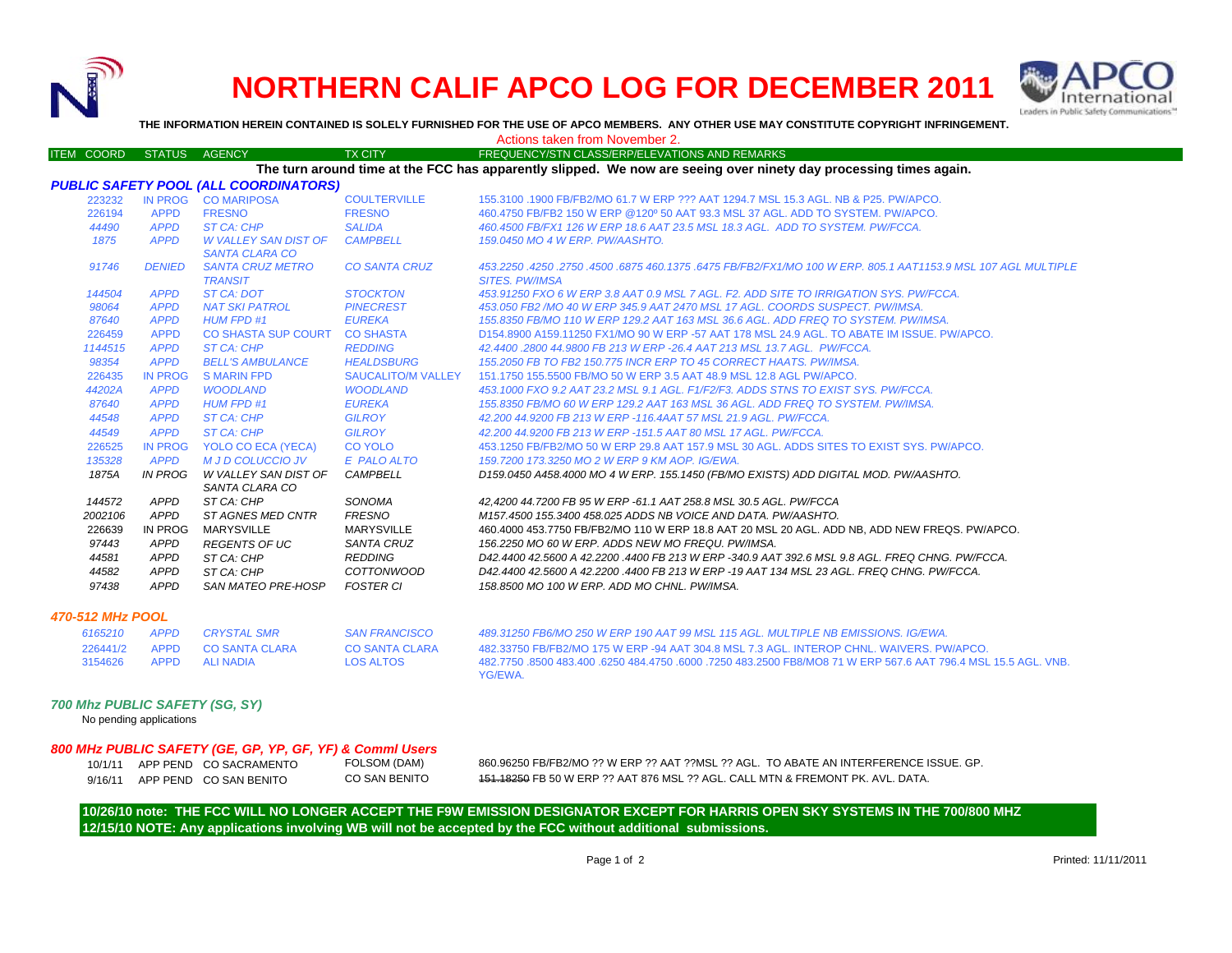

## **NORTHERN CALIF APCO LOG FOR DECEMBER 2011**



**THE INFORMATION HEREIN CONTAINED IS SOLELY FURNISHED FOR THE USE OF APCO MEMBERS. ANY OTHER USE MAY CONSTITUTE COPYRIGHT INFRINGEMENT.**

Actions taken from November 2.

## ITEM COORD STATUS AGENCY TX CITY TREQUENCY/STN CLASS/ERP/ELEVATIONS AND REMARKS *PUBLIC SAFETY POOL (ALL COORDINATORS)* 223232 IN PROG CO MARIPOSA COULTERVILLE 155.3100 .1900 FB/FB2/MO 61.7 W ERP ??? AAT 1294.7 MSL 15.3 AGL. NB & P25. PW/APCO. 226194 APPD FRESNO FRESNO 460.4750 FB/FB2 150 W ERP @120º 50 AAT 93.3 MSL 37 AGL. ADD TO SYSTEM. PW/APCO. *44490 APPD ST CA: CHP SALIDA 460.4500 FB/FX1 126 W ERP 18.6 AAT 23.5 MSL 18.3 AGL. ADD TO SYSTEM. PW/FCCA.1875 APPD W VALLEY SAN DIST OF SANTA CLARA COCAMPBELL 159.0450 MO 4 W ERP. PW/AASHTO.91746 DENIED SANTA CRUZ METRO TRANSIT*ST CA: DOT *CO SANTA CRUZ 453.2250 .4250 .2750 .4500 .6875 460.1375 .6475 FB/FB2/FX1/MO 100 W ERP. 805.1 AAT1153.9 MSL 107 AGL MULTIPLE SITES. PW/IMSA 144504 APPD ST CA: DOT STOCKTON 453.91250 FXO 6 W ERP 3.8 AAT 0.9 MSL 7 AGL. F2. ADD SITE TO IRRIGATION SYS. PW/FCCA.98064 APPD NAT SKI PATROL PINECREST 453.050 FB2 /MO 40 W ERP 345.9 AAT 2470 MSL 17 AGL. COORDS SUSPECT. PW/IMSA.87640 APPD HUM FPD #1 EUREKA 155.8350 FB/MO 110 W ERP 129.2 AAT 163 MSL 36.6 AGL. ADD FREQ TO SYSTEM. PW/IMSA.* 226459 APPD CO SHASTA SUP COURT CO SHASTA D154.8900 A159.11250 FX1/MO 90 W ERP -57 AAT 178 MSL 24.9 AGL. TO ABATE IM ISSUE. PW/APCO.*1144515 APPD ST CA: CHP REDDING 42.4400 .2800 44.9800 FB 213 W ERP -26.4 AAT 213 MSL 13.7 AGL. PW/FCCA.98354 APPD BELL'S AMBULANCE HEALDSBURG 155.2050 FB TO FB2 150.775 INCR ERP TO 45 CORRECT HAATS. PW/IMSA.*226435 IN PROG S MARIN FPD SAUCALITO/M VALLEY 151.1750 155.5500 FB/MO 50 W ERP 3.5 AAT 48.9 MSL 12.8 AGL PW/APCO.*44202A APPD WOODLAND WOODLAND 453.1000 FXO 9.2 AAT 23.2 MSL 9.1 AGL. F1/F2/F3. ADDS STNS TO EXIST SYS. PW/FCCA.87640 APPD HUM FPD #1 EUREKA 155.8350 FB/MO 60 W ERP 129.2 AAT 163 MSL 36 AGL. ADD FREQ TO SYSTEM. PW/IMSA. 44548 APPD ST CA: CHP GILROY 42.200 44.9200 FB 213 W ERP -116.4AAT 57 MSL 21.9 AGL. PW/FCCA.44549 APPD ST CA: CHP GILROY 42.200 44.9200 FB 213 W ERP -151.5 AAT 80 MSL 17 AGL. PW/FCCA.*226525 IN PROG YOLO CO ECA (YECA) CO YOLO 453.1250 FB/FB2/MO 50 W ERP 29.8 AAT 157.9 MSL 30 AGL. ADDS SITES TO EXIST SYS. PW/APCO. *135328 APPD M J D COLUCCIO JV E PALO ALTO 159.7200 173.3250 MO 2 W ERP 9 KM AOP. IG/EWA.1875A IN PROG W VALLEY SAN DIST OF SANTA CLARA COCAMPBELL D159.0450 A458.4000 MO 4 W ERP. 155.1450 (FB/MO EXISTS) ADD DIGITAL MOD. PW/AASHTO. 144572 APPD ST CA: CHP SONOMA 42,4200 44.7200 FB 95 W ERP -61.1 AAT 258.8 MSL 30.5 AGL. PW/FCCA 2002106 APPD ST AGNES MED CNTR FRESNO M157.4500 155.3400 458.025 ADDS NB VOICE AND DATA. PW/AASHTO.* 226639 IN PROG MARYSVILLE MARYSVILLE 460.4000 453.7750 FB/FB2/MO 110 W ERP 18.8 AAT 20 MSL 20 AGL. ADD NB, ADD NEW FREQS. PW/APCO. *97443 APPD REGENTS OF UC SANTA CRUZ 156.2250 MO 60 W ERP. ADDS NEW MO FREQU. PW/IMSA. 44581 APPD ST CA: CHP REDDING D42.4400 42.5600 A 42.2200 .4400 FB 213 W ERP -340.9 AAT 392.6 MSL 9.8 AGL. FREQ CHNG. PW/FCCA. 44582 APPD ST CA: CHP COTTONWOOD D42.4400 42.5600 A 42.2200 .4400 FB 213 W ERP -19 AAT 134 MSL 23 AGL. FREQ CHNG. PW/FCCA. 97438 APPD SAN MATEO PRE-HOSP FOSTER CI 158.8500 MO 100 W ERP. ADD MO CHNL. PW/IMSA. 470-512 MHz POOL6165210 APPD CRYSTAL SMR SAN FRANCISCO 489.31250 FB6/MO 250 W ERP 190 AAT 99 MSL 115 AGL. MULTIPLE NB EMISSIONS. IG/EWA.*226441/2 APPD CO SANTA CLARA CO SANTA CLARA 482.33750 FB/FB2/MO 175 W ERP -94 AAT 304.8 MSL 7.3 AGL. INTEROP CHNL. WAIVERS. PW/APCO.3154626 APPD ALI NADIA LOS ALTOS 482.7750 .8500 483.400 .6250 484.4750 .6000 .7250 483.2500 FB8/MO8 71 W ERP 567.6 AAT 796.4 MSL 15.5 AGL. VNB. YG/EWA.*700 Mhz PUBLIC SAFETY (SG, SY)* **The turn around time at the FCC has apparently slipped. We now are seeing over ninety day processing times again.**

## No pending applications

## *800 MHz PUBLIC SAFETY (GE, GP, YP, GF, YF) & Comml Users*

| 10/1/11 | APP PEND CO SACRAMENTO | FO |
|---------|------------------------|----|
| 9/16/11 | APP PEND CO SAN BENITO | CС |

 FOLSOM (DAM) 860.96250 FB/FB2/MO ?? W ERP ?? AAT ??MSL ?? AGL. TO ABATE AN INTERFERENCE ISSUE. GP. SAN BENITO **151.18250 FB 50 W ERP ?? AAT 876 MSL ?? AGL. CALL MTN & FREMONT PK. AVL. DATA.** 

**12/15/10 NOTE: Any applications involving WB will not be accepted by the FCC without additional submissions. 10/26/10 note: THE FCC WILL NO LONGER ACCEPT THE F9W EMISSION DESIGNATOR EXCEPT FOR HARRIS OPEN SKY SYSTEMS IN THE 700/800 MHZ**